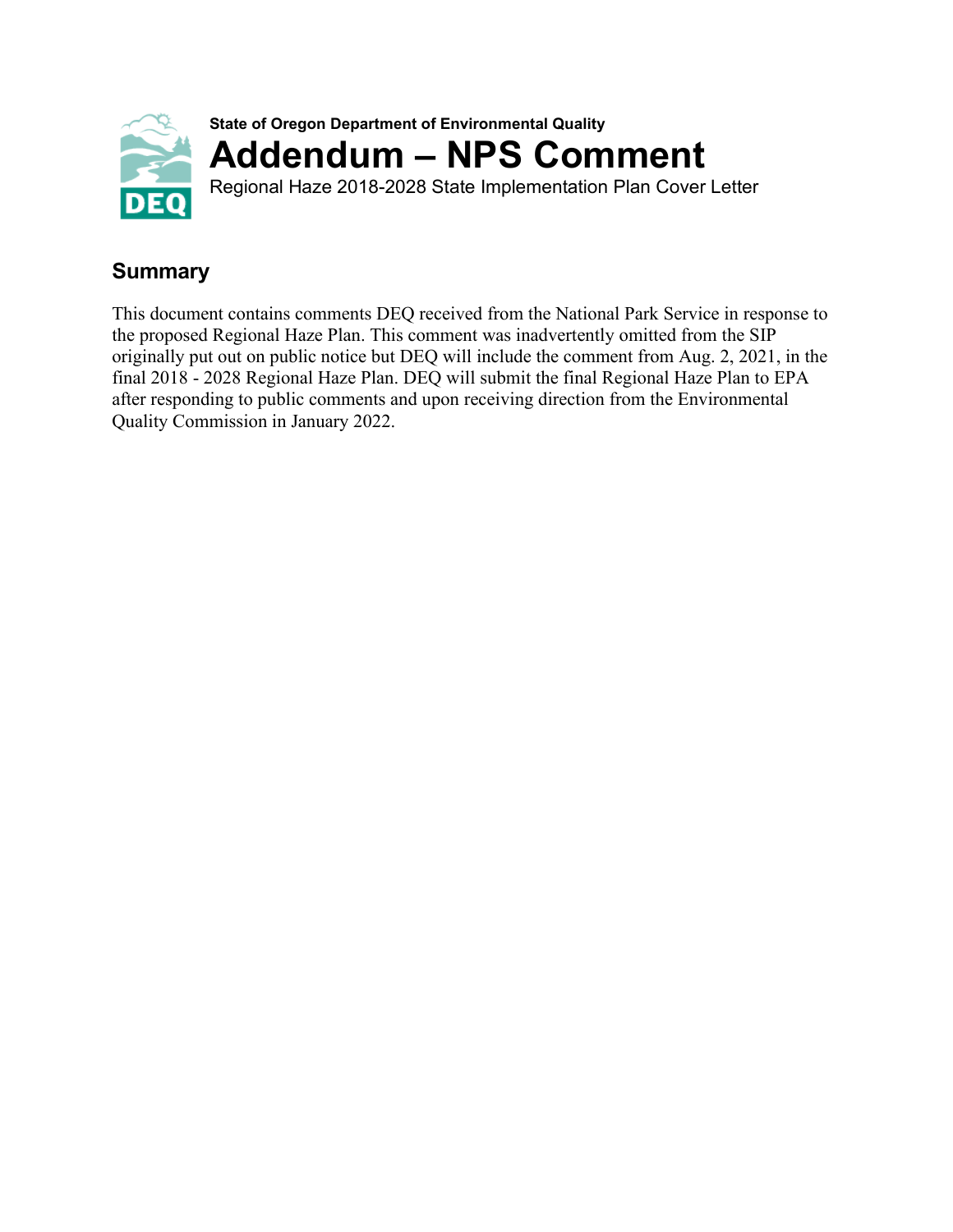

## **Summary**

This document contains comments DEQ received from the National Park Service in response to the proposed Regional Haze Plan. This comment was inadvertently omitted from the SIP originally put out on public notice but DEQ will include the comment from Aug. 2, 2021, in the final 2018 - 2028 Regional Haze Plan. DEQ will submit the final Regional Haze Plan to EPA after responding to public comments and upon receiving direction from the Environmental Quality Commission in January 2022.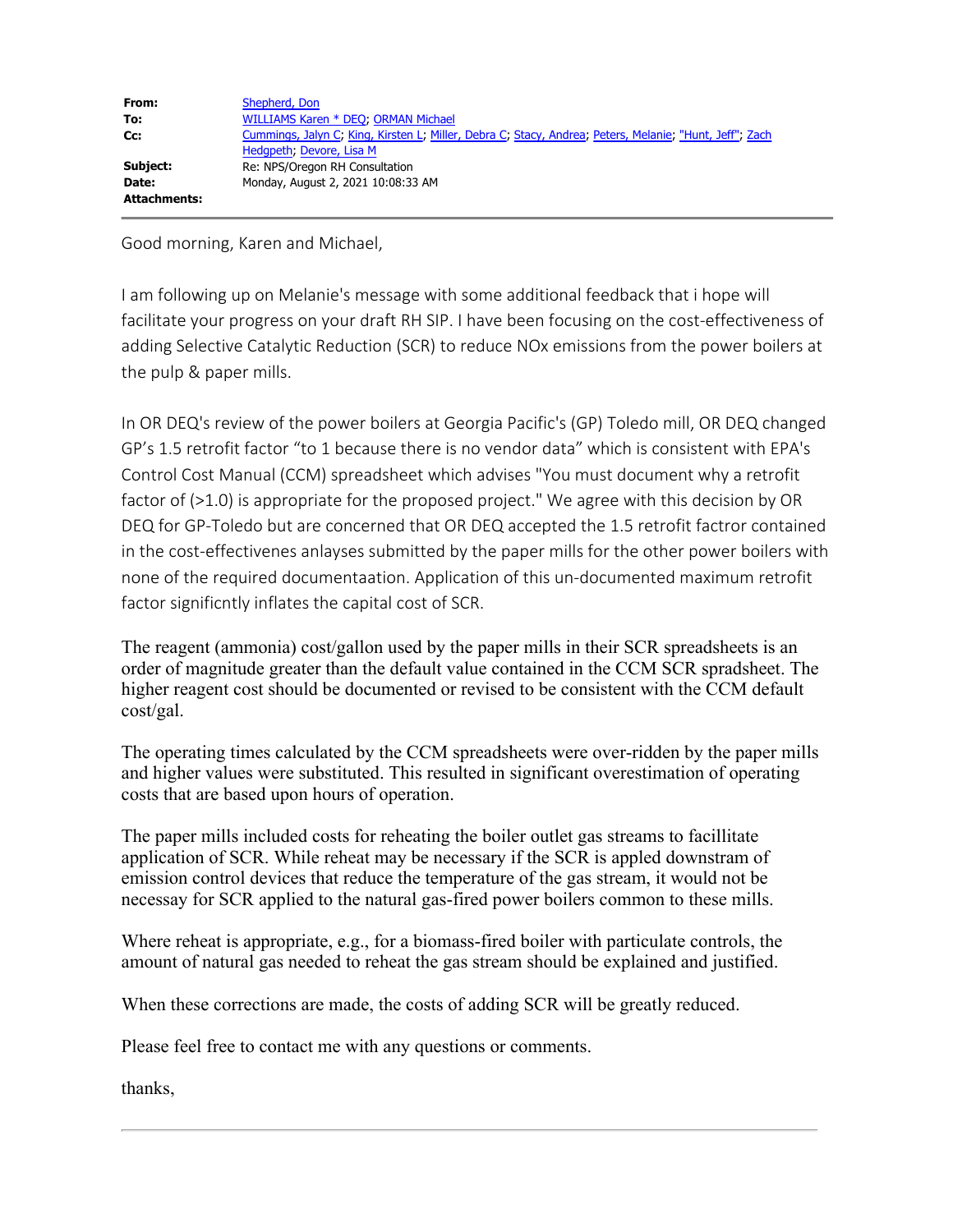| From:        | Shepherd, Don                                                                                           |
|--------------|---------------------------------------------------------------------------------------------------------|
| To:          | WILLIAMS Karen * DEO; ORMAN Michael                                                                     |
| Cc:          | Cummings, Jalyn C, King, Kirsten L, Miller, Debra C, Stacy, Andrea, Peters, Melanie, "Hunt, Jeff", Zach |
|              | Hedgpeth, Devore, Lisa M                                                                                |
| Subject:     | Re: NPS/Oregon RH Consultation                                                                          |
| Date:        | Monday, August 2, 2021 10:08:33 AM                                                                      |
| Attachments: |                                                                                                         |

Good morning, Karen and Michael,

I am following up on Melanie's message with some additional feedback that i hope will facilitate your progress on your draft RH SIP. I have been focusing on the cost-effectiveness of adding Selective Catalytic Reduction (SCR) to reduce NOx emissions from the power boilers at the pulp & paper mills.

In OR DEQ's review of the power boilers at Georgia Pacific's (GP) Toledo mill, OR DEQ changed GP's 1.5 retrofit factor "to 1 because there is no vendor data" which is consistent with EPA's Control Cost Manual (CCM) spreadsheet which advises "You must document why a retrofit factor of (>1.0) is appropriate for the proposed project." We agree with this decision by OR DEQ for GP-Toledo but are concerned that OR DEQ accepted the 1.5 retrofit factror contained in the cost-effectivenes anlayses submitted by the paper mills for the other power boilers with none of the required documentaation. Application of this un-documented maximum retrofit factor significntly inflates the capital cost of SCR.

The reagent (ammonia) cost/gallon used by the paper mills in their SCR spreadsheets is an order of magnitude greater than the default value contained in the CCM SCR spradsheet. The higher reagent cost should be documented or revised to be consistent with the CCM default cost/gal.

The operating times calculated by the CCM spreadsheets were over-ridden by the paper mills and higher values were substituted. This resulted in significant overestimation of operating costs that are based upon hours of operation.

The paper mills included costs for reheating the boiler outlet gas streams to facillitate application of SCR. While reheat may be necessary if the SCR is appled downstram of emission control devices that reduce the temperature of the gas stream, it would not be necessay for SCR applied to the natural gas-fired power boilers common to these mills.

Where reheat is appropriate, e.g., for a biomass-fired boiler with particulate controls, the amount of natural gas needed to reheat the gas stream should be explained and justified.

When these corrections are made, the costs of adding SCR will be greatly reduced.

Please feel free to contact me with any questions or comments.

thanks,